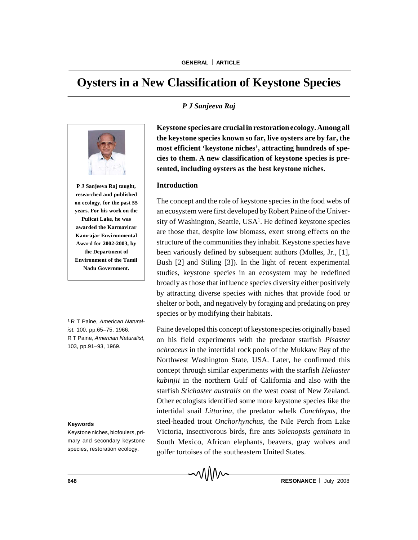# **Oysters in a New Classification of Keystone Species**



**P J Sanjeeva Raj taught, researched and published on ecology, for the past 55 years. For his work on the Pulicat Lake, he was awarded the Karmavirar Kamrajar Environmental Award for 2002-2003, by the Department of Environment of the Tamil Nadu Government.**

<sup>1</sup> R T Paine, *American Naturalist,* 100, pp.65–75, 1966. R T Paine, *Amercian Naturalist,* 103, pp.91–93, 1969.

#### **Keywords**

Keystone niches, biofoulers, primary and secondary keystone species, restoration ecology.

## *P J Sanjeeva Raj*

**Keystone species are crucialin restoration ecology. Among all the keystone species known so far, live oysters are by far, the most efficient 'keystone niches', attracting hundreds of species to them. A new classification of keystone species is presented, including oysters as the best keystone niches.**

## **Introduction**

The concept and the role of keystone species in the food webs of an ecosystem were first developed by Robert Paine of the University of Washington, Seattle, USA<sup>1</sup>. He defined keystone species are those that, despite low biomass, exert strong effects on the structure of the communities they inhabit. Keystone species have been variously defined by subsequent authors (Molles, Jr., [1], Bush [2] and Stiling [3]). In the light of recent experimental studies, keystone species in an ecosystem may be redefined broadly as those that influence species diversity either positively by attracting diverse species with niches that provide food or shelter or both, and negatively by foraging and predating on prey species or by modifying their habitats.

Paine developed this concept of keystone species originally based on his field experiments with the predator starfish *Pisaster ochraceus* in the intertidal rock pools of the Mukkaw Bay of the Northwest Washington State, USA. Later, he confirmed this concept through similar experiments with the starfish *Heliaster kubinjii* in the northern Gulf of California and also with the starfish *Stichaster australis* on the west coast of New Zealand. Other ecologists identified some more keystone species like the intertidal snail *Littorina*, the predator whelk *Conchlepas,* the steel-headed trout *Onchorhynchus*, the Nile Perch from Lake Victoria, insectivorous birds, fire ants *Solenopsis geminata* in South Mexico, African elephants, beavers, gray wolves and golfer tortoises of the southeastern United States.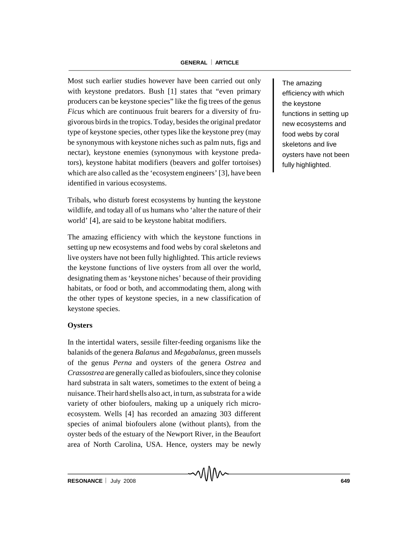#### **GENERAL ARTICLE**

Most such earlier studies however have been carried out only with keystone predators. Bush [1] states that "even primary producers can be keystone species" like the fig trees of the genus *Ficus* which are continuous fruit bearers for a diversity of frugivorous birds in the tropics. Today, besides the original predator type of keystone species, other types like the keystone prey (may be synonymous with keystone niches such as palm nuts, figs and nectar), keystone enemies (synonymous with keystone predators), keystone habitat modifiers (beavers and golfer tortoises) which are also called as the 'ecosystem engineers' [3], have been identified in various ecosystems.

Tribals, who disturb forest ecosystems by hunting the keystone wildlife, and today all of us humans who 'alter the nature of their world' [4], are said to be keystone habitat modifiers.

The amazing efficiency with which the keystone functions in setting up new ecosystems and food webs by coral skeletons and live oysters have not been fully highlighted. This article reviews the keystone functions of live oysters from all over the world, designating them as 'keystone niches' because of their providing habitats, or food or both, and accommodating them, along with the other types of keystone species, in a new classification of keystone species.

#### **Oysters**

In the intertidal waters, sessile filter-feeding organisms like the balanids of the genera *Balanus* and *Megabalanus*, green mussels of the genus *Perna* and oysters of the genera *Ostrea* and *Crassostrea* are generally called as biofoulers, since they colonise hard substrata in salt waters, sometimes to the extent of being a nuisance. Their hard shells also act, in turn, as substrata for a wide variety of other biofoulers, making up a uniquely rich microecosystem. Wells [4] has recorded an amazing 303 different species of animal biofoulers alone (without plants), from the oyster beds of the estuary of the Newport River, in the Beaufort area of North Carolina, USA. Hence, oysters may be newly

MMN

The amazing efficiency with which the keystone functions in setting up new ecosystems and food webs by coral skeletons and live oysters have not been fully highlighted.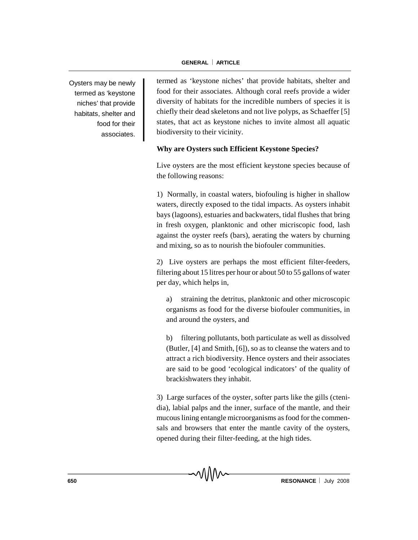Oysters may be newly termed as 'keystone niches' that provide habitats, shelter and food for their associates.

termed as 'keystone niches' that provide habitats, shelter and food for their associates. Although coral reefs provide a wider diversity of habitats for the incredible numbers of species it is chiefly their dead skeletons and not live polyps, as Schaeffer [5] states, that act as keystone niches to invite almost all aquatic biodiversity to their vicinity.

## **Why are Oysters such Efficient Keystone Species?**

Live oysters are the most efficient keystone species because of the following reasons:

1) Normally, in coastal waters, biofouling is higher in shallow waters, directly exposed to the tidal impacts. As oysters inhabit bays (lagoons), estuaries and backwaters, tidal flushes that bring in fresh oxygen, planktonic and other micriscopic food, lash against the oyster reefs (bars), aerating the waters by churning and mixing, so as to nourish the biofouler communities.

2) Live oysters are perhaps the most efficient filter-feeders, filtering about 15 litres per hour or about 50 to 55 gallons of water per day, which helps in,

a) straining the detritus, planktonic and other microscopic organisms as food for the diverse biofouler communities, in and around the oysters, and

b) filtering pollutants, both particulate as well as dissolved (Butler, [4] and Smith, [6]), so as to cleanse the waters and to attract a rich biodiversity. Hence oysters and their associates are said to be good 'ecological indicators' of the quality of brackishwaters they inhabit.

3) Large surfaces of the oyster, softer parts like the gills (ctenidia), labial palps and the inner, surface of the mantle, and their mucous lining entangle microorganisms as food for the commensals and browsers that enter the mantle cavity of the oysters, opened during their filter-feeding, at the high tides.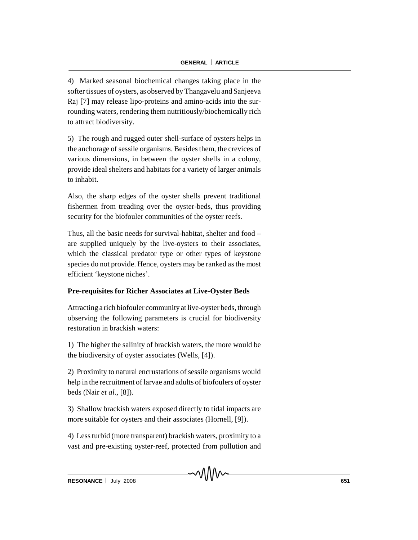4) Marked seasonal biochemical changes taking place in the softer tissues of oysters, as observed by Thangavelu and Sanjeeva Raj [7] may release lipo-proteins and amino-acids into the surrounding waters, rendering them nutritiously/biochemically rich to attract biodiversity.

5) The rough and rugged outer shell-surface of oysters helps in the anchorage of sessile organisms. Besides them, the crevices of various dimensions, in between the oyster shells in a colony, provide ideal shelters and habitats for a variety of larger animals to inhabit.

Also, the sharp edges of the oyster shells prevent traditional fishermen from treading over the oyster-beds, thus providing security for the biofouler communities of the oyster reefs.

Thus, all the basic needs for survival-habitat, shelter and food – are supplied uniquely by the live-oysters to their associates, which the classical predator type or other types of keystone species do not provide. Hence, oysters may be ranked as the most efficient 'keystone niches'.

# **Pre-requisites for Richer Associates at Live-Oyster Beds**

Attracting a rich biofouler community at live-oyster beds, through observing the following parameters is crucial for biodiversity restoration in brackish waters:

1) The higher the salinity of brackish waters, the more would be the biodiversity of oyster associates (Wells, [4]).

2) Proximity to natural encrustations of sessile organisms would help in the recruitment of larvae and adults of biofoulers of oyster beds (Nair *et al*., [8]).

3) Shallow brackish waters exposed directly to tidal impacts are more suitable for oysters and their associates (Hornell, [9]).

4) Less turbid (more transparent) brackish waters, proximity to a vast and pre-existing oyster-reef, protected from pollution and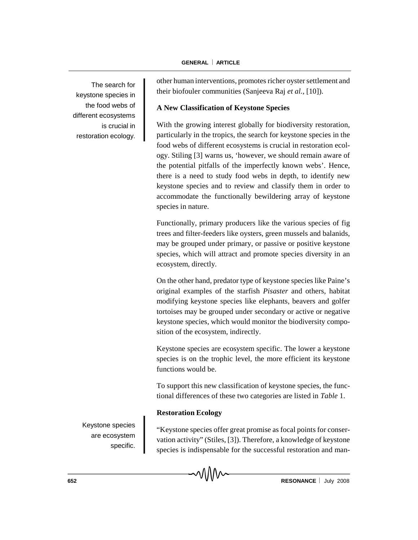The search for keystone species in the food webs of different ecosystems is crucial in restoration ecology. other human interventions, promotes richer oyster settlement and their biofouler communities (Sanjeeva Raj *et al.,* [10]).

# **A New Classification of Keystone Species**

With the growing interest globally for biodiversity restoration, particularly in the tropics, the search for keystone species in the food webs of different ecosystems is crucial in restoration ecology. Stiling [3] warns us, 'however, we should remain aware of the potential pitfalls of the imperfectly known webs'. Hence, there is a need to study food webs in depth, to identify new keystone species and to review and classify them in order to accommodate the functionally bewildering array of keystone species in nature.

Functionally, primary producers like the various species of fig trees and filter-feeders like oysters, green mussels and balanids, may be grouped under primary, or passive or positive keystone species, which will attract and promote species diversity in an ecosystem, directly.

On the other hand, predator type of keystone species like Paine's original examples of the starfish *Pisaster* and others, habitat modifying keystone species like elephants, beavers and golfer tortoises may be grouped under secondary or active or negative keystone species, which would monitor the biodiversity composition of the ecosystem, indirectly.

Keystone species are ecosystem specific. The lower a keystone species is on the trophic level, the more efficient its keystone functions would be.

To support this new classification of keystone species, the functional differences of these two categories are listed in *Table* 1.

# **Restoration Ecology**

Keystone species are ecosystem specific.

"Keystone species offer great promise as focal points for conservation activity" (Stiles, [3]). Therefore, a knowledge of keystone species is indispensable for the successful restoration and man-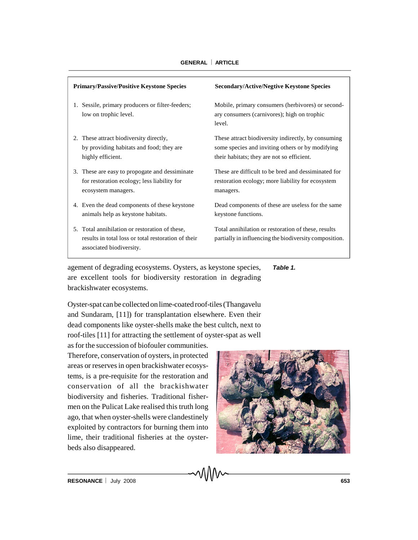| <b>Primary/Passive/Positive Keystone Species</b>                                                                                  | <b>Secondary/Active/Negtive Keystone Species</b>                                                                                                      |
|-----------------------------------------------------------------------------------------------------------------------------------|-------------------------------------------------------------------------------------------------------------------------------------------------------|
| Sessile, primary producers or filter-feeders;                                                                                     | Mobile, primary consumers (herbivores) or second-                                                                                                     |
| 1.                                                                                                                                | ary consumers (carnivores); high on trophic                                                                                                           |
| low on trophic level.                                                                                                             | level.                                                                                                                                                |
| These attract biodiversity directly,<br>2.<br>by providing habitats and food; they are<br>highly efficient.                       | These attract biodiversity indirectly, by consuming<br>some species and inviting others or by modifying<br>their habitats; they are not so efficient. |
| 3. These are easy to propogate and dessiminate                                                                                    | These are difficult to be bred and dessiminated for                                                                                                   |
| for restoration ecology; less liability for                                                                                       | restoration ecology; more liability for ecosystem                                                                                                     |
| ecosystem managers.                                                                                                               | managers.                                                                                                                                             |
| 4. Even the dead components of these keystone                                                                                     | Dead components of these are useless for the same                                                                                                     |
| animals help as keystone habitats.                                                                                                | keystone functions.                                                                                                                                   |
| 5. Total annihilation or restoration of these,<br>results in total loss or total restoration of their<br>associated biodiversity. | Total annihilation or restoration of these, results<br>partially in influencing the biodiversity composition.                                         |

agement of degrading ecosystems. Oysters, as keystone species, are excellent tools for biodiversity restoration in degrading brackishwater ecosystems. *Table 1.*

Oyster-spat can be collected on lime-coated roof-tiles (Thangavelu and Sundaram, [11]) for transplantation elsewhere. Even their dead components like oyster-shells make the best cultch, next to roof-tiles [11] for attracting the settlement of oyster-spat as well as for the succession of biofouler communities.

Therefore, conservation of oysters, in protected areas or reserves in open brackishwater ecosystems, is a pre-requisite for the restoration and conservation of all the brackishwater biodiversity and fisheries. Traditional fishermen on the Pulicat Lake realised this truth long ago, that when oyster-shells were clandestinely exploited by contractors for burning them into lime, their traditional fisheries at the oysterbeds also disappeared.